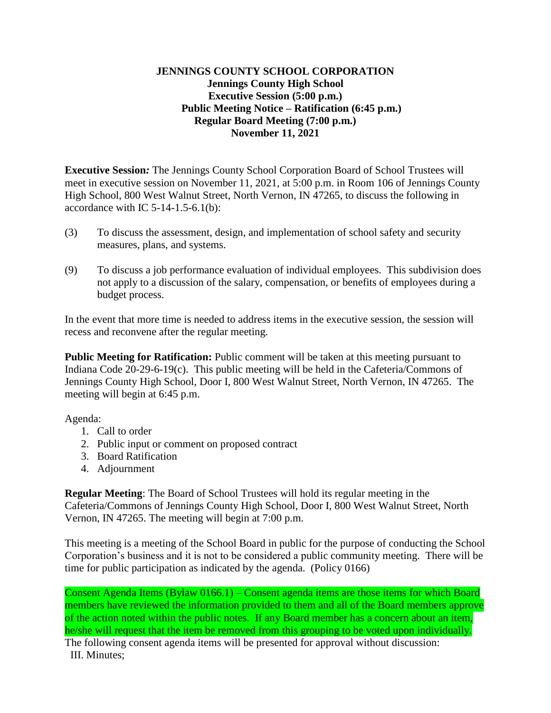## **JENNINGS COUNTY SCHOOL CORPORATION Jennings County High School Executive Session (5:00 p.m.) Public Meeting Notice – Ratification (6:45 p.m.) Regular Board Meeting (7:00 p.m.) November 11, 2021**

**Executive Session***:* The Jennings County School Corporation Board of School Trustees will meet in executive session on November 11, 2021, at 5:00 p.m. in Room 106 of Jennings County High School, 800 West Walnut Street, North Vernon, IN 47265, to discuss the following in accordance with IC  $5-14-1.5-6.1(b)$ :

- (3) To discuss the assessment, design, and implementation of school safety and security measures, plans, and systems.
- (9) To discuss a job performance evaluation of individual employees. This subdivision does not apply to a discussion of the salary, compensation, or benefits of employees during a budget process.

In the event that more time is needed to address items in the executive session, the session will recess and reconvene after the regular meeting.

**Public Meeting for Ratification:** Public comment will be taken at this meeting pursuant to Indiana Code 20-29-6-19(c). This public meeting will be held in the Cafeteria/Commons of Jennings County High School, Door I, 800 West Walnut Street, North Vernon, IN 47265. The meeting will begin at 6:45 p.m.

Agenda:

- 1. Call to order
- 2. Public input or comment on proposed contract
- 3. Board Ratification
- 4. Adjournment

**Regular Meeting**: The Board of School Trustees will hold its regular meeting in the Cafeteria/Commons of Jennings County High School, Door I, 800 West Walnut Street, North Vernon, IN 47265. The meeting will begin at 7:00 p.m.

This meeting is a meeting of the School Board in public for the purpose of conducting the School Corporation's business and it is not to be considered a public community meeting. There will be time for public participation as indicated by the agenda. (Policy 0166)

Consent Agenda Items (Bylaw 0166.1) – Consent agenda items are those items for which Board members have reviewed the information provided to them and all of the Board members approve of the action noted within the public notes. If any Board member has a concern about an item, he/she will request that the item be removed from this grouping to be voted upon individually. The following consent agenda items will be presented for approval without discussion:

III. Minutes;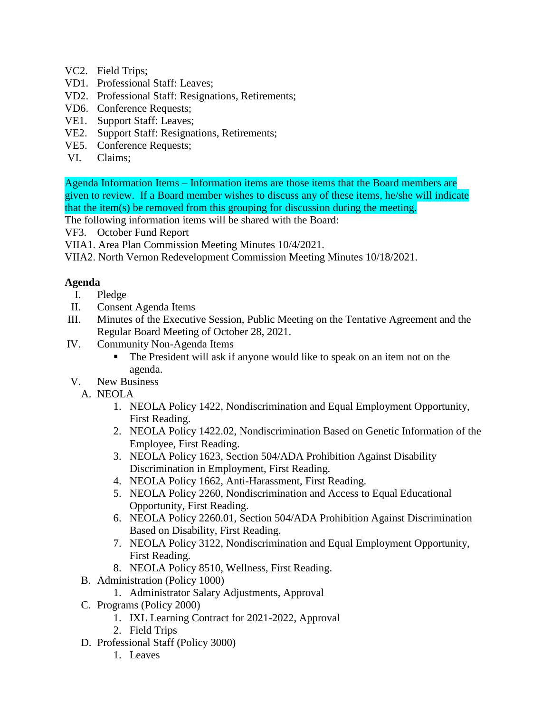- VC2. Field Trips;
- VD1. Professional Staff: Leaves;
- VD2. Professional Staff: Resignations, Retirements;
- VD6. Conference Requests;
- VE1. Support Staff: Leaves;
- VE2. Support Staff: Resignations, Retirements;
- VE5. Conference Requests;
- VI. Claims;

Agenda Information Items – Information items are those items that the Board members are given to review. If a Board member wishes to discuss any of these items, he/she will indicate that the item(s) be removed from this grouping for discussion during the meeting.

The following information items will be shared with the Board:

VF3. October Fund Report

- VIIA1. Area Plan Commission Meeting Minutes 10/4/2021.
- VIIA2. North Vernon Redevelopment Commission Meeting Minutes 10/18/2021.

## **Agenda**

- I. Pledge
- II. Consent Agenda Items
- III. Minutes of the Executive Session, Public Meeting on the Tentative Agreement and the Regular Board Meeting of October 28, 2021.
- IV. Community Non-Agenda Items
	- The President will ask if anyone would like to speak on an item not on the agenda.
- V. New Business
	- A. NEOLA
		- 1. NEOLA Policy 1422, Nondiscrimination and Equal Employment Opportunity, First Reading.
		- 2. NEOLA Policy 1422.02, Nondiscrimination Based on Genetic Information of the Employee, First Reading.
		- 3. NEOLA Policy 1623, Section 504/ADA Prohibition Against Disability Discrimination in Employment, First Reading.
		- 4. NEOLA Policy 1662, Anti-Harassment, First Reading.
		- 5. NEOLA Policy 2260, Nondiscrimination and Access to Equal Educational Opportunity, First Reading.
		- 6. NEOLA Policy 2260.01, Section 504/ADA Prohibition Against Discrimination Based on Disability, First Reading.
		- 7. NEOLA Policy 3122, Nondiscrimination and Equal Employment Opportunity, First Reading.
		- 8. NEOLA Policy 8510, Wellness, First Reading.
	- B. Administration (Policy 1000)
		- 1. Administrator Salary Adjustments, Approval
	- C. Programs (Policy 2000)
		- 1. IXL Learning Contract for 2021-2022, Approval
		- 2. Field Trips
	- D. Professional Staff (Policy 3000)
		- 1. Leaves